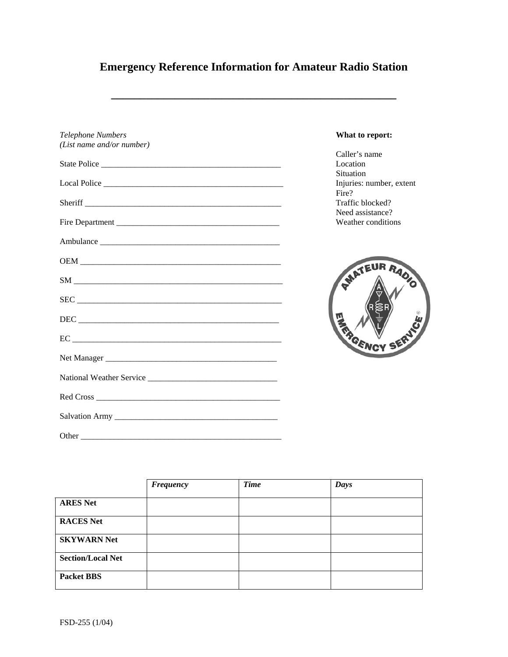# **Emergency Reference Information for Amateur Radio Station**

**\_\_\_\_\_\_\_\_\_\_\_\_\_\_\_\_\_\_\_\_\_\_\_\_\_\_\_\_\_\_\_\_\_\_\_\_\_\_\_\_\_\_\_\_\_\_\_\_\_**

| <b>Telephone Numbers</b>  | What to report:                               |
|---------------------------|-----------------------------------------------|
| (List name and/or number) |                                               |
| State Police              | Caller's name<br>Location<br><b>Situation</b> |
|                           | Injuries: number, extent<br>Fire?             |
|                           | Traffic blocked?                              |
| Fire Department           | Need assistance?<br>Weather conditions        |
| Ambulance                 |                                               |
|                           |                                               |
|                           | <b>AMATEUR RADIO</b>                          |
| SEC                       |                                               |
|                           |                                               |
|                           | GENCY SERV                                    |
|                           |                                               |
|                           |                                               |
|                           |                                               |
|                           |                                               |
|                           |                                               |

|                          | <b>Frequency</b> | <b>Time</b> | Days |
|--------------------------|------------------|-------------|------|
| <b>ARES Net</b>          |                  |             |      |
| <b>RACES Net</b>         |                  |             |      |
| <b>SKYWARN Net</b>       |                  |             |      |
| <b>Section/Local Net</b> |                  |             |      |
| <b>Packet BBS</b>        |                  |             |      |